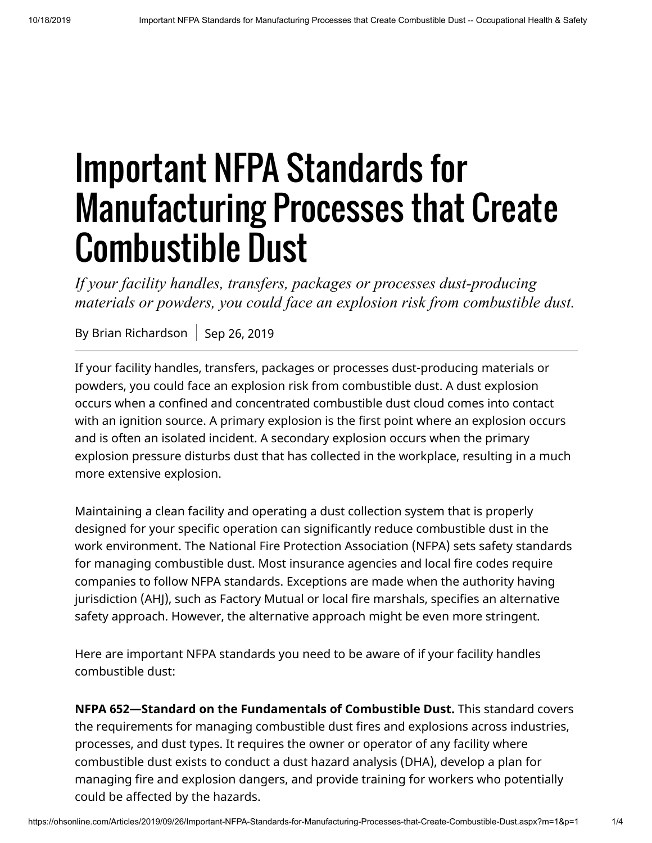## Important NFPA Standards for Manufacturing Processes that Create Combustible Dust

*If your facility handles, transfers, packages or processes dust-producing materials or powders, you could face an explosion risk from combustible dust.*

By Brian Richardson Sep 26, 2019

If your facility handles, transfers, packages or processes dust-producing materials or powders, you could face an explosion risk from combustible dust. A dust explosion occurs when a confined and concentrated combustible dust cloud comes into contact with an ignition source. A primary explosion is the first point where an explosion occurs and is often an isolated incident. A secondary explosion occurs when the primary explosion pressure disturbs dust that has collected in the workplace, resulting in a much more extensive explosion.

Maintaining a clean facility and operating a dust collection system that is properly designed for your specific operation can significantly reduce combustible dust in the work environment. The National Fire Protection Association (NFPA) sets safety standards for managing combustible dust. Most insurance agencies and local fire codes require companies to follow NFPA standards. Exceptions are made when the authority having jurisdiction (AHJ), such as Factory Mutual or local fire marshals, specifies an alternative safety approach. However, the alternative approach might be even more stringent.

Here are important NFPA standards you need to be aware of if your facility handles combustible dust:

**NFPA 652—Standard on the Fundamentals of Combustible Dust.** This standard covers the requirements for managing combustible dust fires and explosions across industries, processes, and dust types. It requires the owner or operator of any facility where combustible dust exists to conduct a dust hazard analysis (DHA), develop a plan for managing fire and explosion dangers, and provide training for workers who potentially could be affected by the hazards.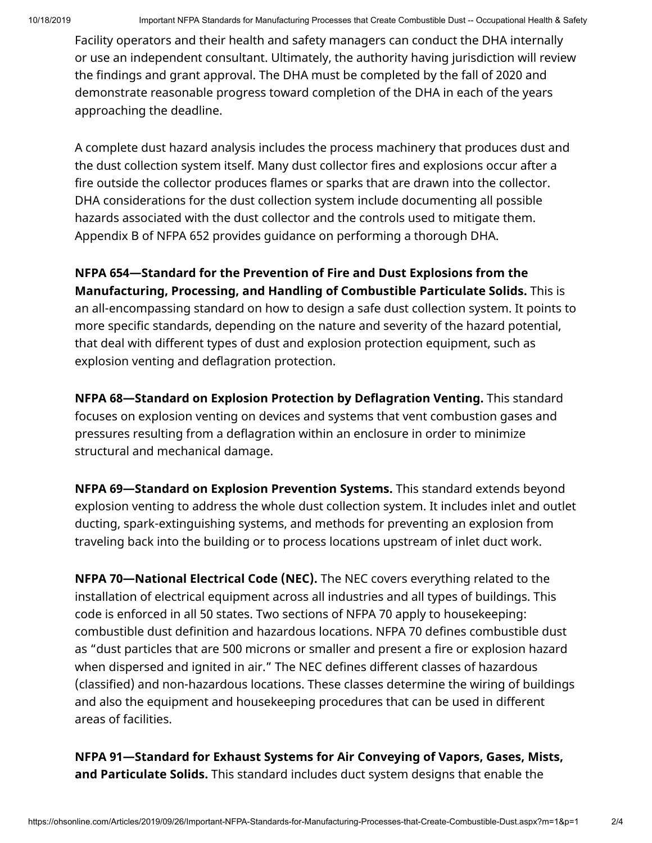Facility operators and their health and safety managers can conduct the DHA internally or use an independent consultant. Ultimately, the authority having jurisdiction will review the findings and grant approval. The DHA must be completed by the fall of 2020 and demonstrate reasonable progress toward completion of the DHA in each of the years approaching the deadline.

A complete dust hazard analysis includes the process machinery that produces dust and the dust collection system itself. Many dust collector fires and explosions occur after a fire outside the collector produces flames or sparks that are drawn into the collector. DHA considerations for the dust collection system include documenting all possible hazards associated with the dust collector and the controls used to mitigate them. Appendix B of NFPA 652 provides guidance on performing a thorough DHA.

**NFPA 654—Standard for the Prevention of Fire and Dust Explosions from the Manufacturing, Processing, and Handling of Combustible Particulate Solids.** This is an all-encompassing standard on how to design a safe dust collection system. It points to more specific standards, depending on the nature and severity of the hazard potential, that deal with different types of dust and explosion protection equipment, such as explosion venting and deflagration protection.

**NFPA 68—Standard on Explosion Protection by Deflagration Venting.** This standard focuses on explosion venting on devices and systems that vent combustion gases and pressures resulting from a deflagration within an enclosure in order to minimize structural and mechanical damage.

**NFPA 69—Standard on Explosion Prevention Systems.** This standard extends beyond explosion venting to address the whole dust collection system. It includes inlet and outlet ducting, spark-extinguishing systems, and methods for preventing an explosion from traveling back into the building or to process locations upstream of inlet duct work.

**NFPA 70—National Electrical Code (NEC).** The NEC covers everything related to the installation of electrical equipment across all industries and all types of buildings. This code is enforced in all 50 states. Two sections of NFPA 70 apply to housekeeping: combustible dust definition and hazardous locations. NFPA 70 defines combustible dust as "dust particles that are 500 microns or smaller and present a fire or explosion hazard when dispersed and ignited in air." The NEC defines different classes of hazardous (classified) and non-hazardous locations. These classes determine the wiring of buildings and also the equipment and housekeeping procedures that can be used in different areas of facilities.

**NFPA 91—Standard for Exhaust Systems for Air Conveying of Vapors, Gases, Mists, and Particulate Solids.** This standard includes duct system designs that enable the